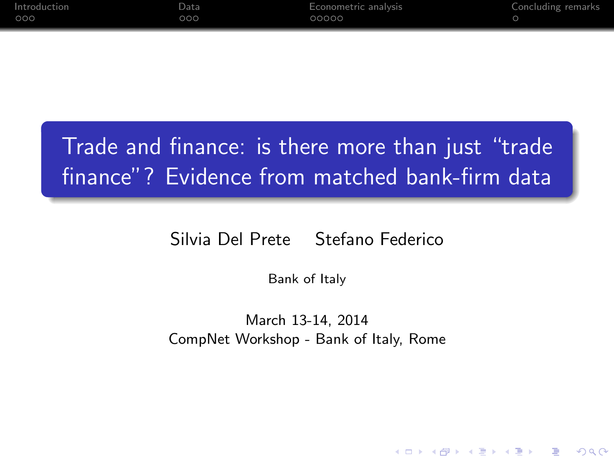| <b>Introduction</b> | Data                | Econometric analysis | Concluding remarks |
|---------------------|---------------------|----------------------|--------------------|
| 000                 | $\circ \circ \circ$ | 00000                |                    |

## Trade and finance: is there more than just "trade finance"? Evidence from matched bank-firm data

#### Silvia Del Prete Stefano Federico

Bank of Italy

March 13-14, 2014 CompNet Workshop - Bank of Italy, Rome

**KORK ERKER ADAM DE SORA**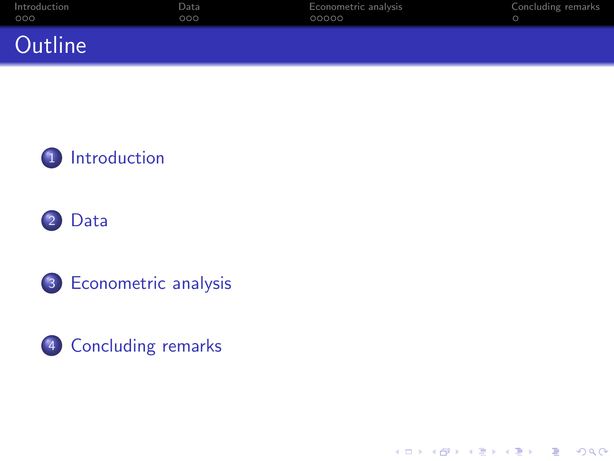| Introduction | Data | Econometric analysis | Concluding remarks |
|--------------|------|----------------------|--------------------|
| 000          | 000  | 00000                |                    |
| Outline      |      |                      |                    |









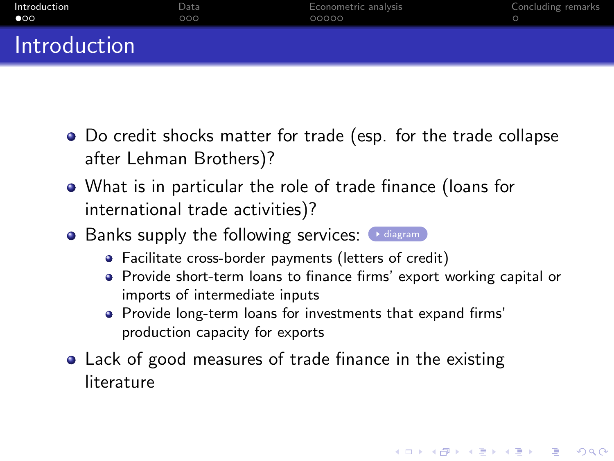| Introduction | Data | Econometric analysis | Concluding remarks |
|--------------|------|----------------------|--------------------|
| $\bullet$    | 000  | 00000                |                    |
| Introduction |      |                      |                    |

- Do credit shocks matter for trade (esp. for the trade collapse after Lehman Brothers)?
- What is in particular the role of trade finance (loans for international trade activities)?
- $\bullet$  Banks supply the following services:  $\bullet$  [diagram](#page-15-0)
	- Facilitate cross-border payments (letters of credit)
	- Provide short-term loans to finance firms' export working capital or imports of intermediate inputs

- Provide long-term loans for investments that expand firms' production capacity for exports
- <span id="page-2-0"></span>Lack of good measures of trade finance in the existing literature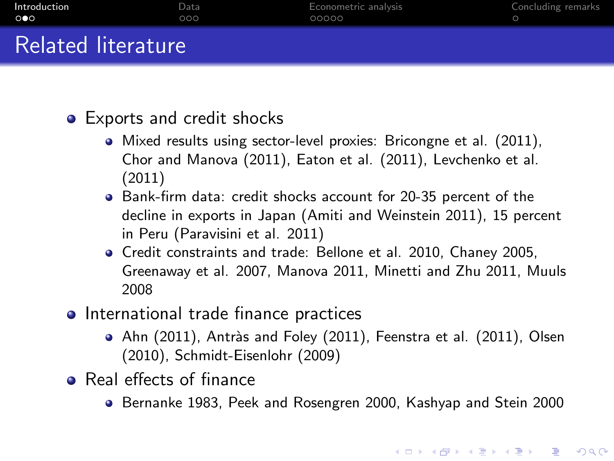| Introduction       | Data | Econometric analysis | Concluding remarks |
|--------------------|------|----------------------|--------------------|
| െ                  | ೦೦೦  | 00000                |                    |
| Related literature |      |                      |                    |

- Exports and credit shocks
	- Mixed results using sector-level proxies: Bricongne et al. (2011), Chor and Manova (2011), Eaton et al. (2011), Levchenko et al. (2011)
	- Bank-firm data: credit shocks account for 20-35 percent of the decline in exports in Japan (Amiti and Weinstein 2011), 15 percent in Peru (Paravisini et al. 2011)
	- Credit constraints and trade: Bellone et al. 2010, Chaney 2005, Greenaway et al. 2007, Manova 2011, Minetti and Zhu 2011, Muuls 2008
- International trade finance practices
	- Ahn (2011), Antràs and Foley (2011), Feenstra et al. (2011), Olsen (2010), Schmidt-Eisenlohr (2009)
- Real effects of finance
	- **•** Bernanke 1983, Peek and Rosengren 2000, Kashyap and Stein 2000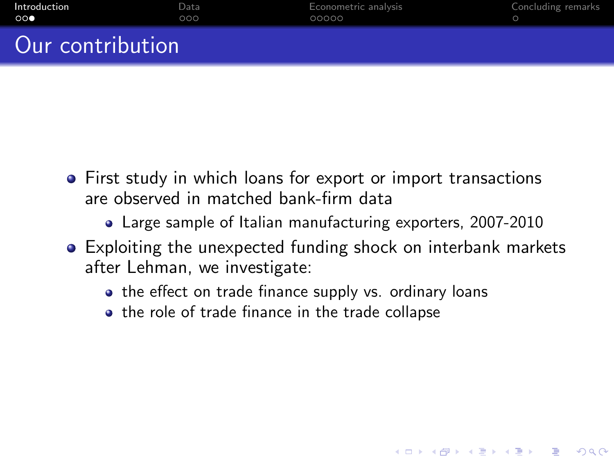| Introduction          | Data | Econometric analysis | Concluding remarks |
|-----------------------|------|----------------------|--------------------|
| $\circ \circ \bullet$ | റററ  | 00000                |                    |
| Our contribution      |      |                      |                    |

- First study in which loans for export or import transactions are observed in matched bank-firm data
	- Large sample of Italian manufacturing exporters, 2007-2010
- Exploiting the unexpected funding shock on interbank markets after Lehman, we investigate:

**KORK ERKER ADAM DE SORA** 

- the effect on trade finance supply vs. ordinary loans
- the role of trade finance in the trade collapse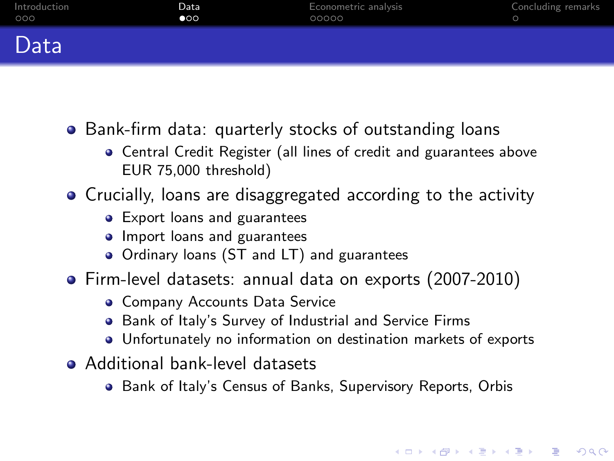| Introduction | Data         | Econometric analysis | Concluding remarks |
|--------------|--------------|----------------------|--------------------|
| 000          | $\bullet$ 00 | 00000                |                    |
| Data         |              |                      |                    |

- Bank-firm data: quarterly stocks of outstanding loans
	- Central Credit Register (all lines of credit and guarantees above EUR 75,000 threshold)
- Crucially, loans are disaggregated according to the activity
	- Export loans and guarantees
	- **Import loans and guarantees**
	- Ordinary loans (ST and LT) and guarantees
- Firm-level datasets: annual data on exports (2007-2010)
	- **Company Accounts Data Service**
	- Bank of Italy's Survey of Industrial and Service Firms
	- Unfortunately no information on destination markets of exports

- <span id="page-5-0"></span>**Additional bank-level datasets** 
	- Bank of Italy's Census of Banks, Supervisory Reports, Orbis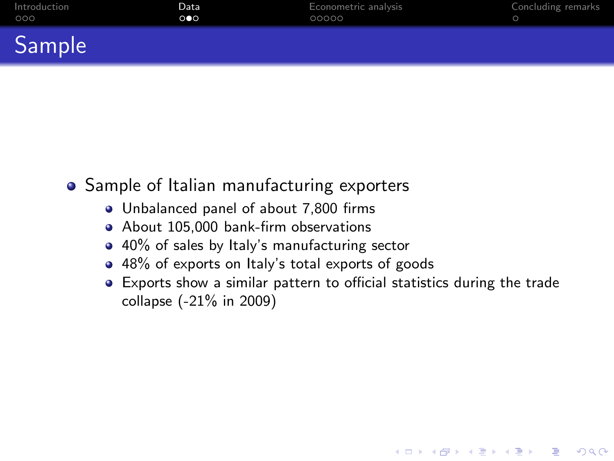| Introduction | Data                  | Econometric analysis | Concluding remarks |
|--------------|-----------------------|----------------------|--------------------|
| 000          | $\circ \bullet \circ$ | 00000                |                    |
| $\sim$       |                       |                      |                    |

• Sample of Italian manufacturing exporters

Sample

- Unbalanced panel of about 7,800 firms
- About 105,000 bank-firm observations
- 40% of sales by Italy's manufacturing sector
- 48% of exports on Italy's total exports of goods
- Exports show a similar pattern to official statistics during the trade collapse (-21% in 2009)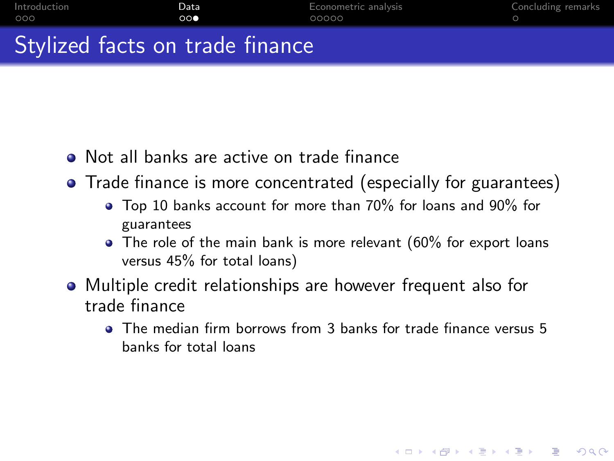| Introduction<br>000 | Data<br>00 | Econometric analysis<br>00000 | Concluding remarks |
|---------------------|------------|-------------------------------|--------------------|
|                     |            |                               |                    |
|                     | ---        |                               |                    |

### Stylized facts on trade finance

- Not all banks are active on trade finance
- Trade finance is more concentrated (especially for guarantees)
	- Top 10 banks account for more than 70% for loans and 90% for guarantees
	- The role of the main bank is more relevant (60% for export loans versus 45% for total loans)
- Multiple credit relationships are however frequent also for trade finance
	- The median firm borrows from 3 banks for trade finance versus 5 banks for total loans

**KORK ERKER ADAM DE SORA**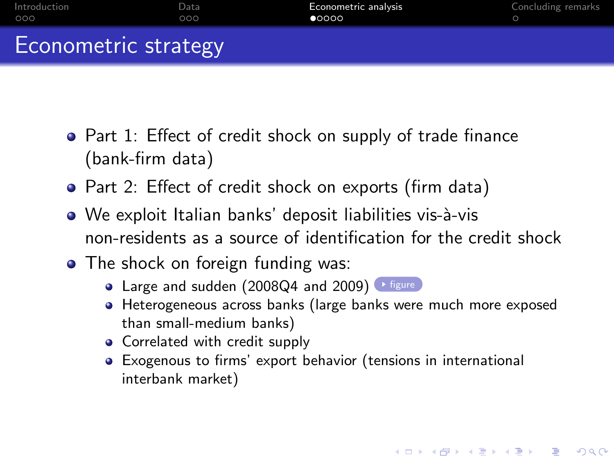| -Introduction-       | Data | Econometric analysis | Concluding remarks |
|----------------------|------|----------------------|--------------------|
| 000                  | 00Q  | 00000                |                    |
| Econometric strategy |      |                      |                    |

- Part 1: Effect of credit shock on supply of trade finance (bank-firm data)
- Part 2: Effect of credit shock on exports (firm data)
- We exploit Italian banks' deposit liabilities vis-à-vis non-residents as a source of identification for the credit shock
- The shock on foreign funding was:
	- Large and sudden (2008Q4 and 2009) Figure
	- Heterogeneous across banks (large banks were much more exposed than small-medium banks)

- Correlated with credit supply
- <span id="page-8-0"></span>Exogenous to firms' export behavior (tensions in international interbank market)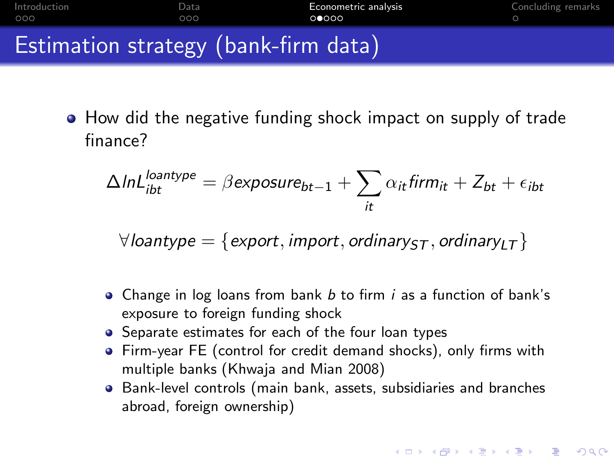

How did the negative funding shock impact on supply of trade finance?

$$
\Delta InL_{ibt}^{loantype} = \beta \exp osure_{bt-1} + \sum_{it} \alpha_{it} firm_{it} + Z_{bt} + \epsilon_{ibt}
$$

 $\forall$ loantype = {export, *import*, *ordinary*<sub>5</sub>, *ordinary*<sub>LT</sub>}

- Change in log loans from bank *b* to firm *i* as a function of bank's exposure to foreign funding shock
- Separate estimates for each of the four loan types
- Firm-year FE (control for credit demand shocks), only firms with multiple banks (Khwaja and Mian 2008)
- Bank-level controls (main bank, assets, subsidiaries and branches abroad, foreign ownership)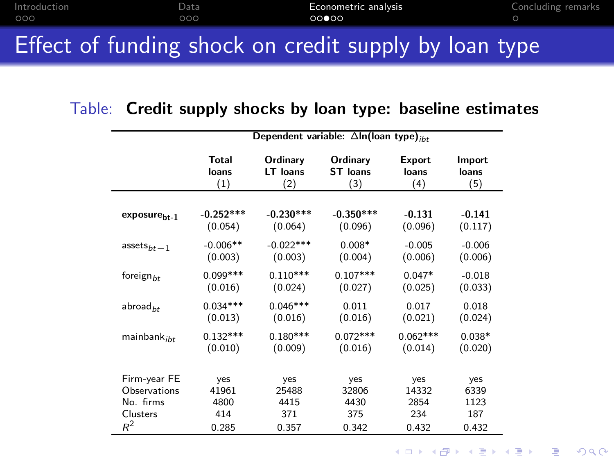|               | . Fifty and fifty a three alleged a second the constitution of the company |                      |                    |
|---------------|----------------------------------------------------------------------------|----------------------|--------------------|
| 000           | 00Q                                                                        | 00000                |                    |
| -Introduction | Data                                                                       | Econometric analysis | Concluding remarks |

## Effect of funding shock on credit supply by loan type

#### Table: **Credit supply shocks by loan type: baseline estimates**

|                          | Dependent variable: $\Delta$ ln(loan type) <sub>iht</sub> |             |                 |            |          |
|--------------------------|-----------------------------------------------------------|-------------|-----------------|------------|----------|
|                          | Total                                                     | Ordinary    | Ordinary        | Export     | Import   |
|                          | loans                                                     | LT loans    | <b>ST</b> loans | loans      | loans    |
|                          | (1)                                                       | (2)         | (3)             | (4)        | (5)      |
| exposure <sub>bt-1</sub> | $-0.252***$                                               | $-0.230***$ | $-0.350***$     | $-0.131$   | $-0.141$ |
|                          | (0.054)                                                   | (0.064)     | (0.096)         | (0.096)    | (0.117)  |
| $assets_{bt-1}$          | $-0.006**$                                                | $-0.022***$ | $0.008*$        | $-0.005$   | $-0.006$ |
|                          | (0.003)                                                   | (0.003)     | (0.004)         | (0.006)    | (0.006)  |
| foreign $_{bt}$          | $0.099***$                                                | $0.110***$  | $0.107***$      | $0.047*$   | $-0.018$ |
|                          | (0.016)                                                   | (0.024)     | (0.027)         | (0.025)    | (0.033)  |
| abroad $_{ht}$           | $0.034***$                                                | $0.046***$  | 0.011           | 0.017      | 0.018    |
|                          | (0.013)                                                   | (0.016)     | (0.016)         | (0.021)    | (0.024)  |
| mainbank <sub>ibt</sub>  | $0.132***$                                                | $0.180***$  | $0.072***$      | $0.062***$ | $0.038*$ |
|                          | (0.010)                                                   | (0.009)     | (0.016)         | (0.014)    | (0.020)  |
| Firm-year FE             | yes                                                       | yes         | yes             | yes        | yes      |
| Observations             | 41961                                                     | 25488       | 32806           | 14332      | 6339     |
| No. firms                | 4800                                                      | 4415        | 4430            | 2854       | 1123     |
| Clusters                 | 414                                                       | 371         | 375             | 234        | 187      |
| $R^2$                    | 0.285                                                     | 0.357       | 0.342           | 0.432      | 0.432    |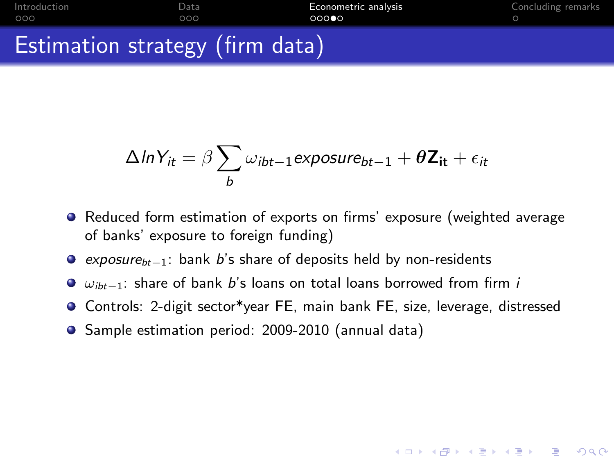[Introduction](#page-2-0) **Internal [Data](#page-5-0) [Econometric analysis](#page-8-0)** [Concluding remarks](#page-13-0)<br>  $\begin{array}{ccc}\n0 & 0 & 0 \\
0 & 0 & 0\n\end{array}$  $000$ 

## Estimation strategy (firm data)

$$
\Delta ln Y_{it} = \beta \sum_{b} \omega_{ibt-1} \exp osure_{bt-1} + \theta \mathbf{Z}_{it} + \epsilon_{it}
$$

- Reduced form estimation of exports on firms' exposure (weighted average of banks' exposure to foreign funding)
- *exposurebt−*<sup>1</sup>: bank *b*'s share of deposits held by non-residents
- ω*ibt−*<sup>1</sup>: share of bank *b*'s loans on total loans borrowed from firm *i*
- **O** Controls: 2-digit sector\*year FE, main bank FE, size, leverage, distressed

**KORK ERKER ADAM DE KORA** 

**•** Sample estimation period: 2009-2010 (annual data)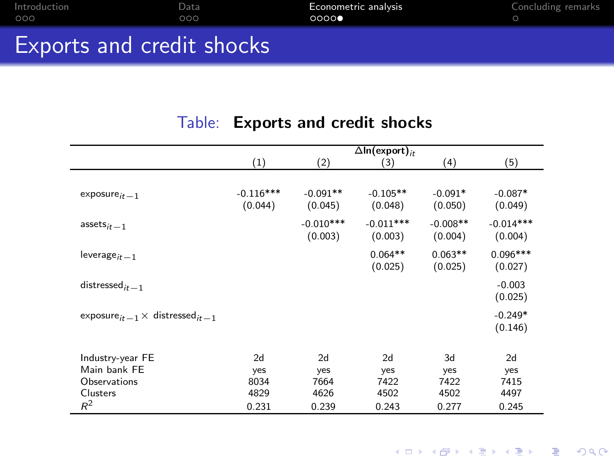| $-$ Introduction $-$      | Data | Econometric analysis | Concluding remarks |
|---------------------------|------|----------------------|--------------------|
| 000                       | 000. | 0000                 |                    |
|                           |      |                      |                    |
| Exports and credit shocks |      |                      |                    |

#### Table: **Exports and credit shocks**

|                                                                | $\Delta$ In(export) <sub>it</sub> |             |             |            |             |  |
|----------------------------------------------------------------|-----------------------------------|-------------|-------------|------------|-------------|--|
|                                                                | (1)                               | (2)         | (3)         | (4)        | (5)         |  |
|                                                                |                                   |             |             |            |             |  |
| $exposure_{it-1}$                                              | $-0.116***$                       | $-0.091**$  | $-0.105**$  | $-0.091*$  | $-0.087*$   |  |
|                                                                | (0.044)                           | (0.045)     | (0.048)     | (0.050)    | (0.049)     |  |
| $assets_{it-1}$                                                |                                   | $-0.010***$ | $-0.011***$ | $-0.008**$ | $-0.014***$ |  |
|                                                                |                                   | (0.003)     | (0.003)     | (0.004)    | (0.004)     |  |
| $leverage_{it-1}$                                              |                                   |             | $0.064**$   | $0.063**$  | $0.096***$  |  |
|                                                                |                                   |             | (0.025)     | (0.025)    | (0.027)     |  |
| distressed $_{it-1}$                                           |                                   |             |             |            | $-0.003$    |  |
|                                                                |                                   |             |             |            | (0.025)     |  |
| exposure <sub>it -1</sub> $\times$ distressed <sub>it -1</sub> |                                   |             |             |            | $-0.249*$   |  |
|                                                                |                                   |             |             |            | (0.146)     |  |
|                                                                |                                   |             |             |            |             |  |
| Industry-year FE                                               | 2d                                | 2d          | 2d          | 3d         | 2d          |  |
| Main bank FE                                                   | yes                               | yes         | yes         | yes        | yes         |  |
| <b>Observations</b>                                            | 8034                              | 7664        | 7422        | 7422       | 7415        |  |
| Clusters                                                       | 4829                              | 4626        | 4502        | 4502       | 4497        |  |
| $R^2$                                                          | 0.231                             | 0.239       | 0.243       | 0.277      | 0.245       |  |

K ロ K イロ K モ X モ X モ X モ コ の Q Q Q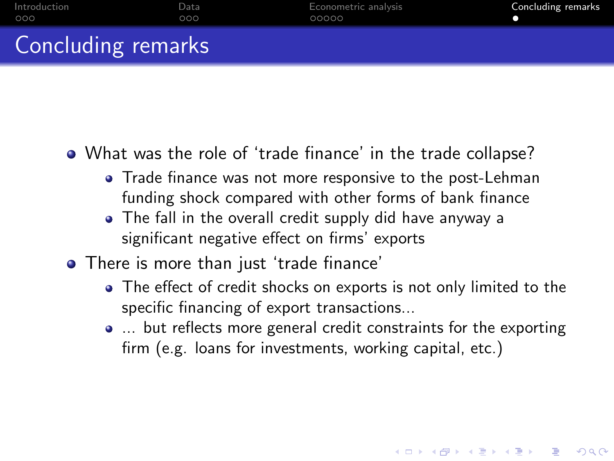| Introduction              | Data | Econometric analysis | Concluding remarks |
|---------------------------|------|----------------------|--------------------|
| 000                       | 000  | 00000                |                    |
| <b>Concluding remarks</b> |      |                      |                    |

- What was the role of 'trade finance' in the trade collapse?
	- Trade finance was not more responsive to the post-Lehman funding shock compared with other forms of bank finance
	- The fall in the overall credit supply did have anyway a significant negative effect on firms' exports
- <span id="page-13-0"></span>There is more than just 'trade finance'
	- The effect of credit shocks on exports is not only limited to the specific financing of export transactions...
	- ... but reflects more general credit constraints for the exporting firm (e.g. loans for investments, working capital, etc.)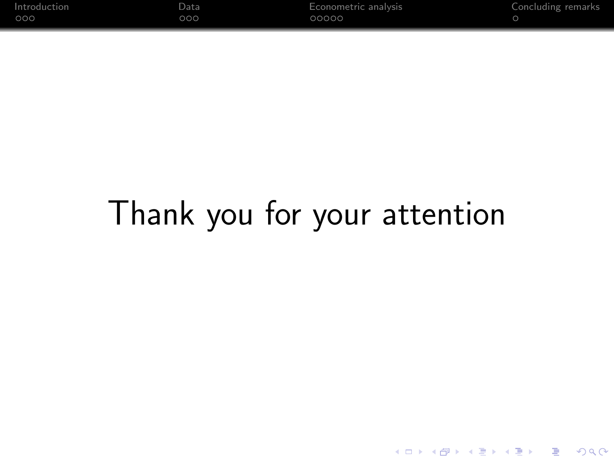| $-$ Introduction $-$ | Data | Econometric analysis | Concluding remarks |
|----------------------|------|----------------------|--------------------|
| 000                  | 000  | 00000                |                    |

# Thank you for your attention

K ロ K イロ K モ X モ X モ X モ コ の Q Q Q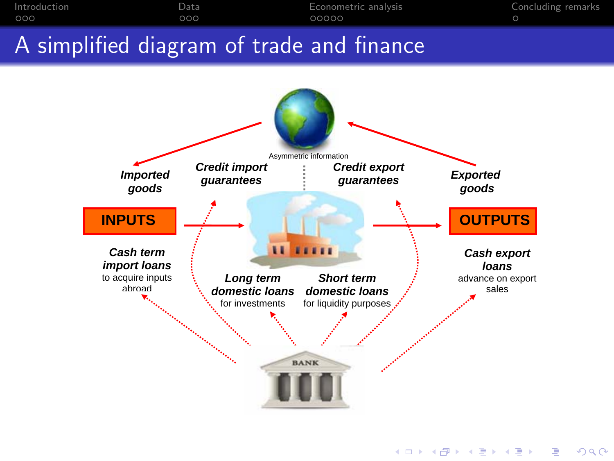<span id="page-15-0"></span>

K ロ ▶ K @ ▶ K 할 ▶ K 할 ▶ 《 할 ▶  $299$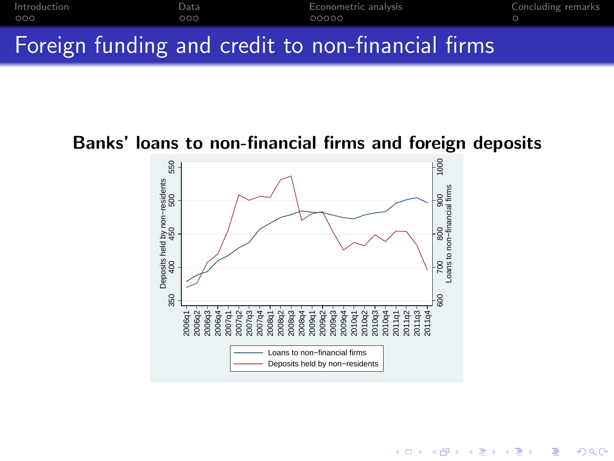

#### <span id="page-16-0"></span>**Banks' loans to non-financial firms and foreign deposits**



K ロンス 御 > ス 할 > ス 할 > 「 할 …

 $299$